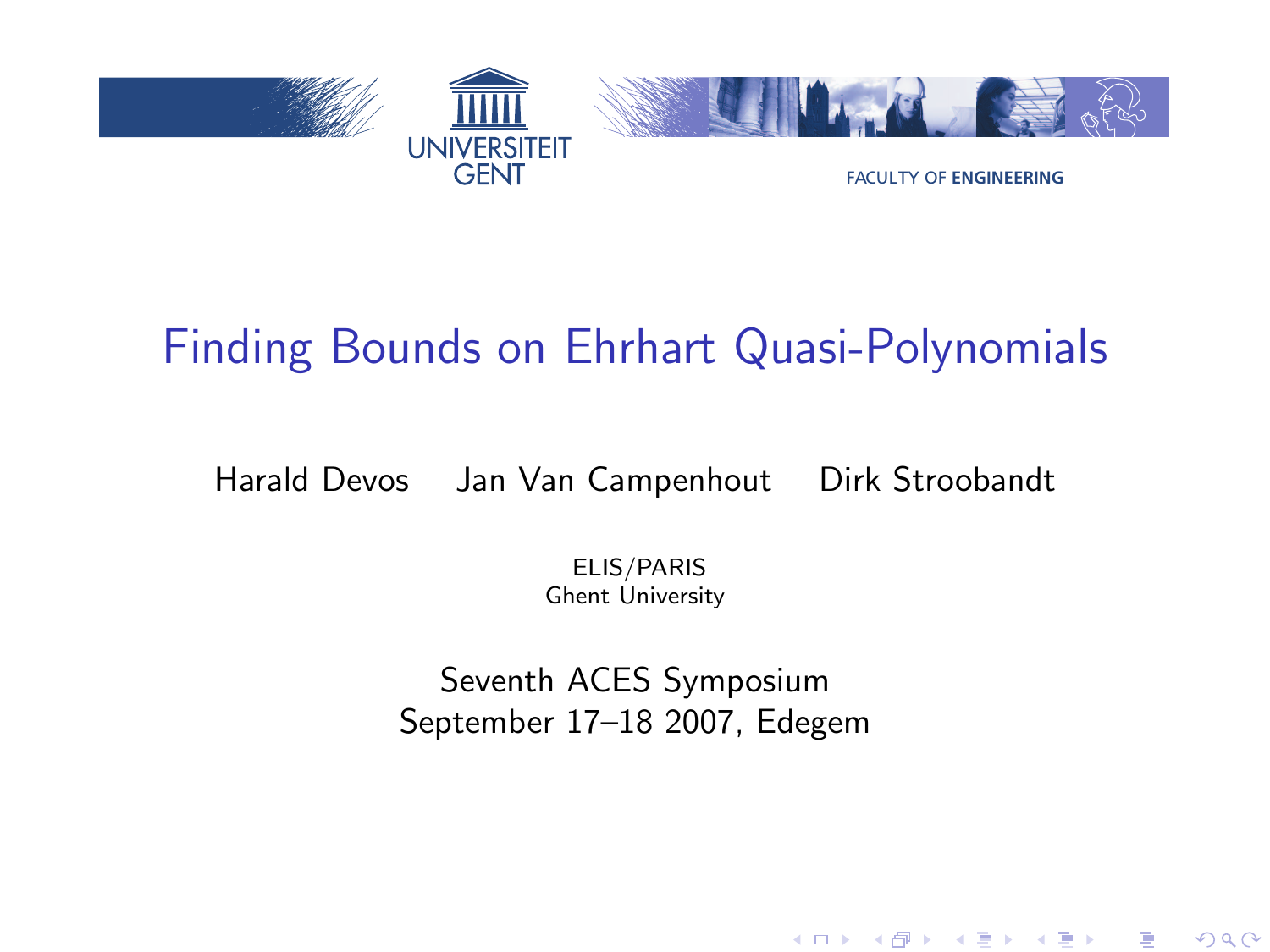<span id="page-0-0"></span>

## Finding Bounds on Ehrhart Quasi-Polynomials

Harald Devos Jan Van Campenhout Dirk Stroobandt

ELIS/PARIS Ghent University

Seventh ACES Symposium September 17–18 2007, Edegem

メロト メ御 トメ ミト メミト

重

 $2Q$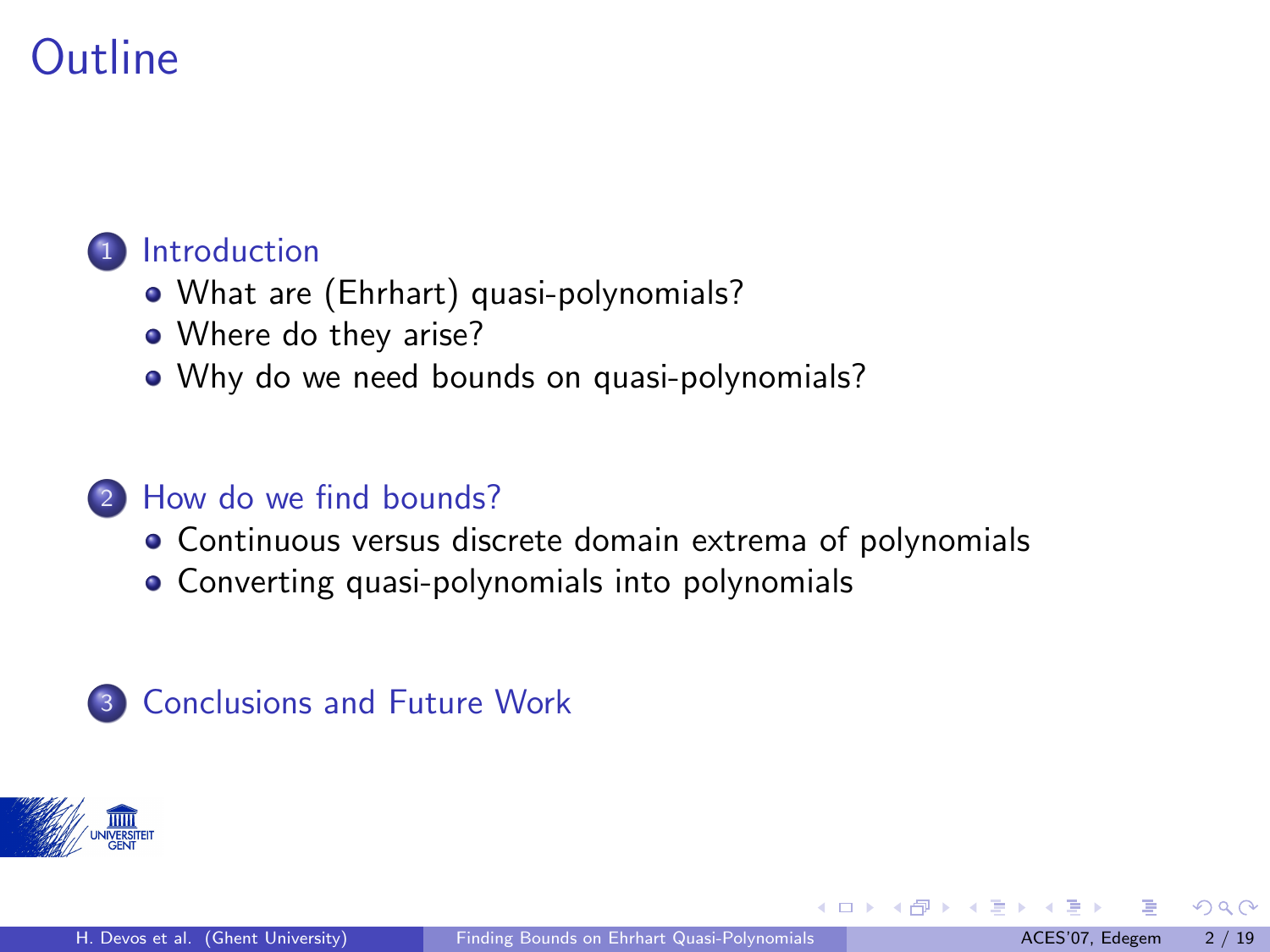#### **[Introduction](#page-2-0)**

- [What are \(Ehrhart\) quasi-polynomials?](#page-2-0)
- [Where do they arise?](#page-8-0)
- [Why do we need bounds on quasi-polynomials?](#page-15-0)

#### <sup>2</sup> [How do we find bounds?](#page-17-0)

- [Continuous versus discrete domain extrema of polynomials](#page-17-0)
- [Converting quasi-polynomials into polynomials](#page-20-0)

### **3** [Conclusions and Future Work](#page-23-0)



4 日下

 $\left\{ \left\{ \bigcap \mathbb{P} \left| \mathbb{P} \right| \leq \left\{ \bigcap \mathbb{P} \left| \mathbb{P} \right| \right\} \right\} \right\}$ 

 $\Omega$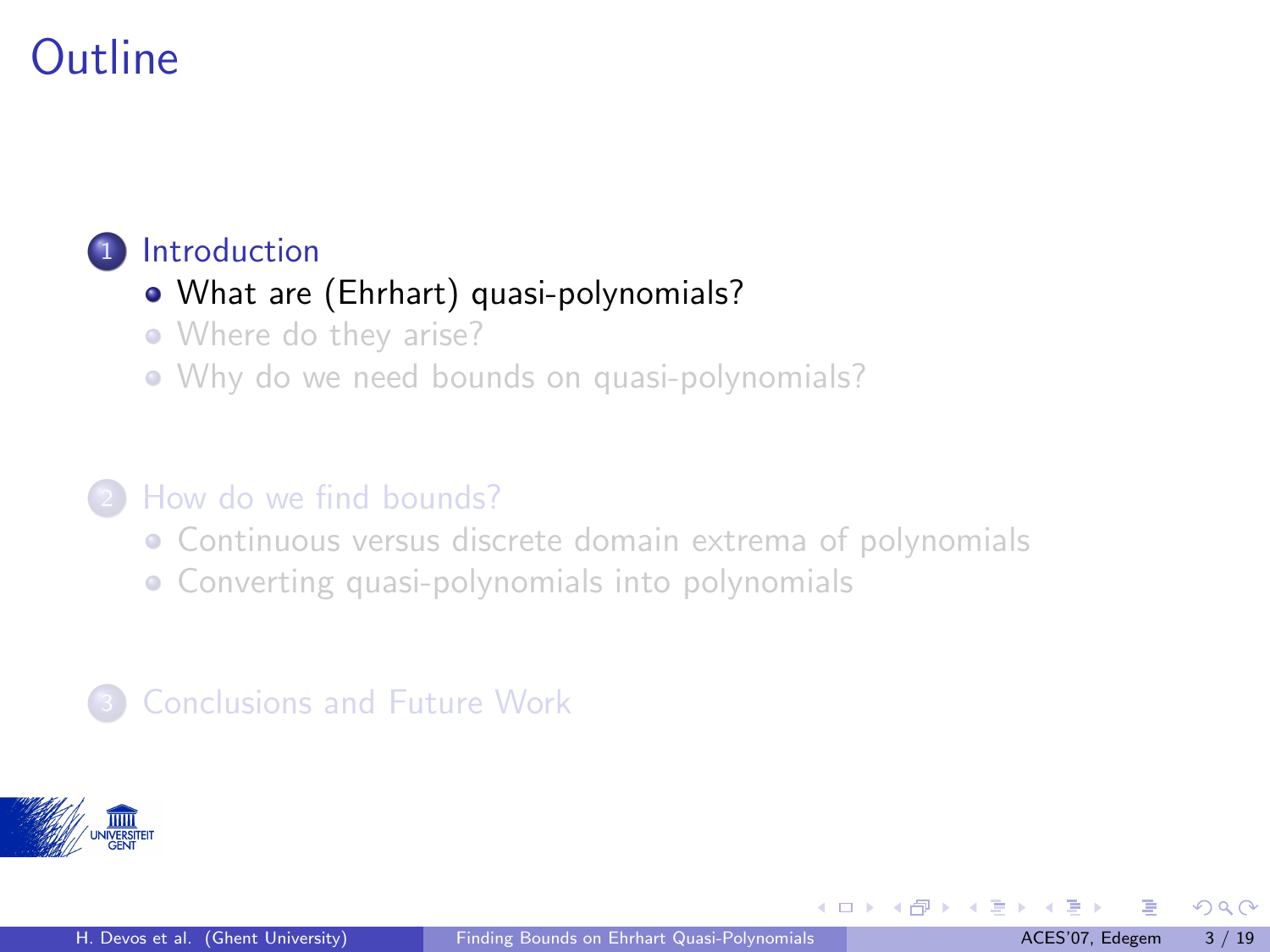#### <span id="page-2-0"></span><sup>1</sup> [Introduction](#page-2-0)

#### [What are \(Ehrhart\) quasi-polynomials?](#page-2-0)

- [Where do they arise?](#page-8-0)
- [Why do we need bounds on quasi-polynomials?](#page-15-0)

#### <sup>2</sup> [How do we find bounds?](#page-17-0)

- [Continuous versus discrete domain extrema of polynomials](#page-17-0)
- [Converting quasi-polynomials into polynomials](#page-20-0)

### **[Conclusions and Future Work](#page-23-0)**



 $\Omega$ 

イロト イ押ト イヨト イ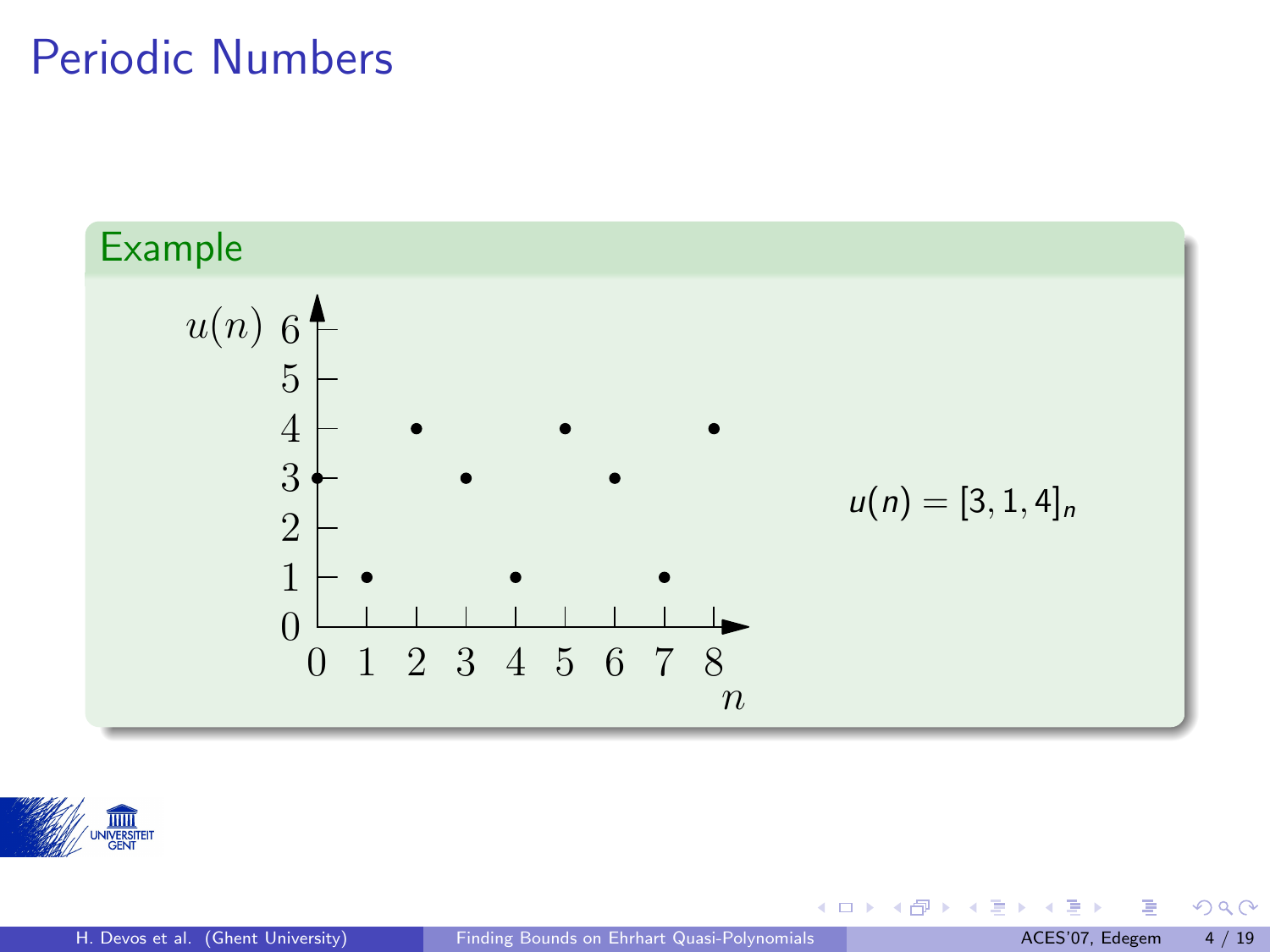### Periodic Numbers





**K ロ ト K 倒 ト K 差 ト K** 

 $290$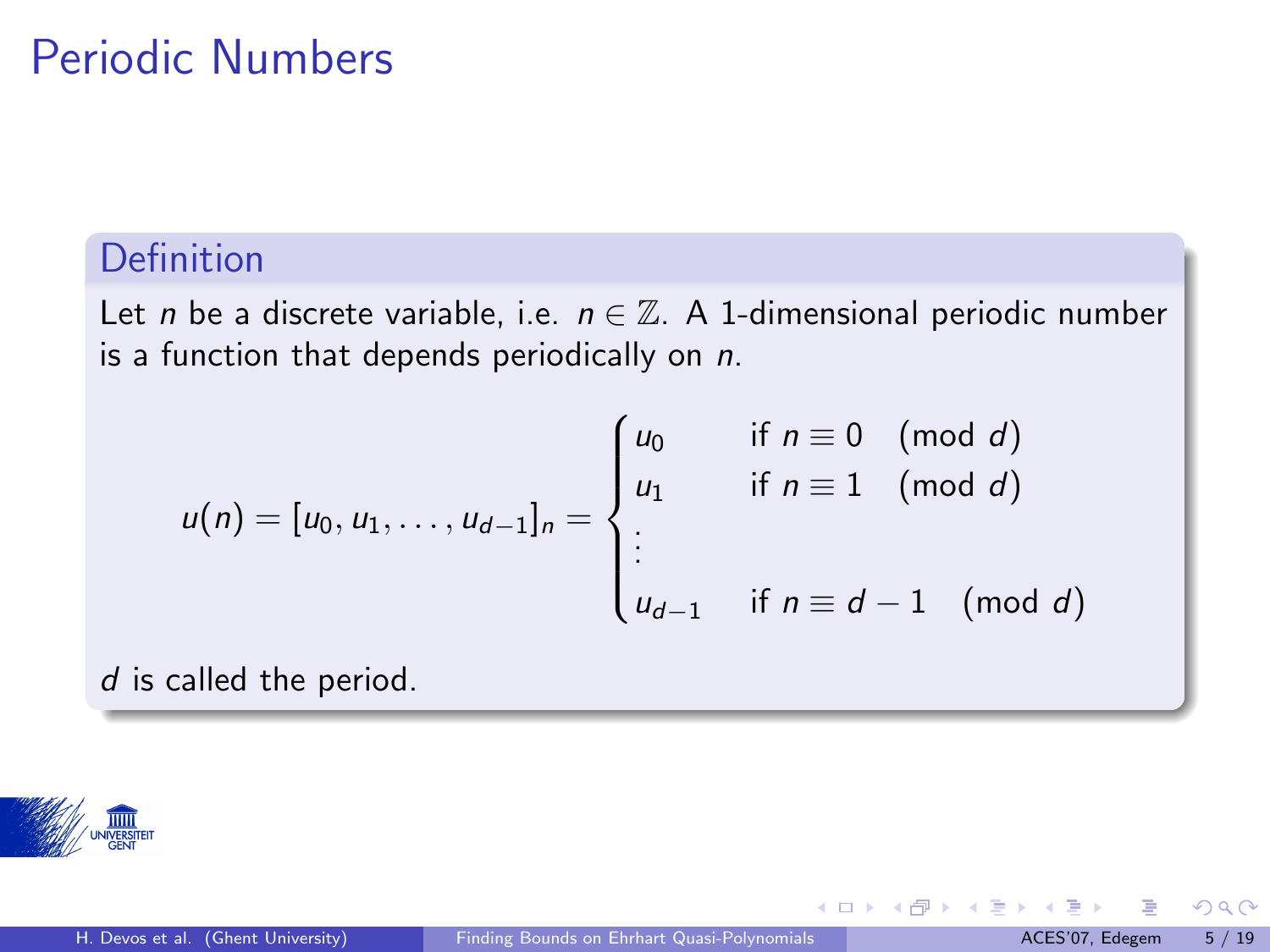### Periodic Numbers

#### Definition

Let *n* be a discrete variable, i.e.  $n \in \mathbb{Z}$ . A 1-dimensional periodic number is a function that depends periodically on  $n$ .

$$
u(n) = [u_0, u_1, \dots, u_{d-1}]_n = \begin{cases} u_0 & \text{if } n \equiv 0 \pmod{d} \\ u_1 & \text{if } n \equiv 1 \pmod{d} \\ \vdots \\ u_{d-1} & \text{if } n \equiv d-1 \pmod{d} \end{cases}
$$

d is called the period.



 $\Omega$ 

**K ロ ⊁ K 倒 ≯ K 差 ≯ K**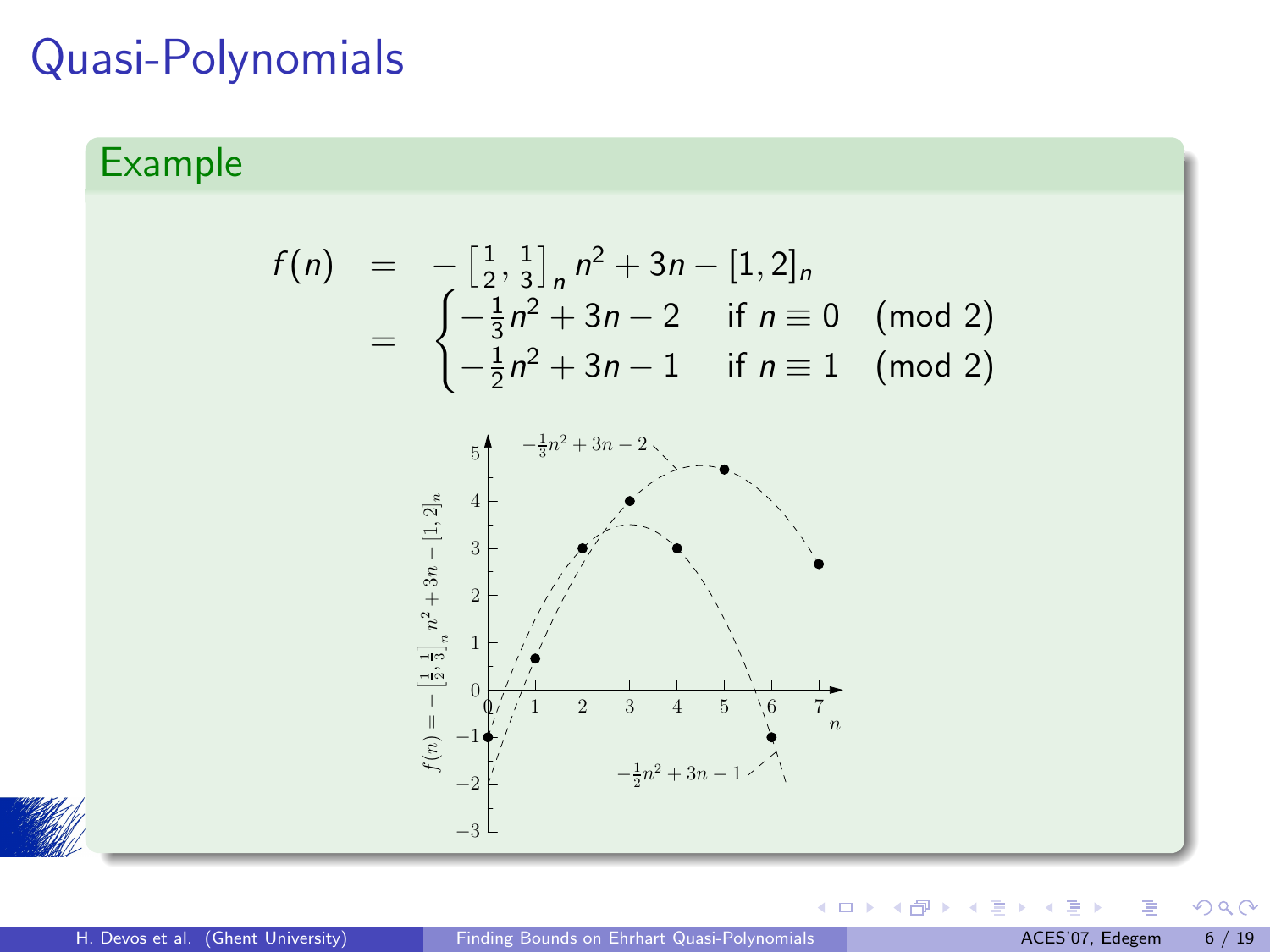### Quasi-Polynomials

#### Example

$$
f(n) = -\left[\frac{1}{2}, \frac{1}{3}\right]_n n^2 + 3n - [1, 2]_n
$$
  
= 
$$
\begin{cases} -\frac{1}{3}n^2 + 3n - 2 & \text{if } n \equiv 0 \pmod{2} \\ -\frac{1}{2}n^2 + 3n - 1 & \text{if } n \equiv 1 \pmod{2} \end{cases}
$$





**E** 

 $290$ 

**K ロトメ部 トメ 差 トメ**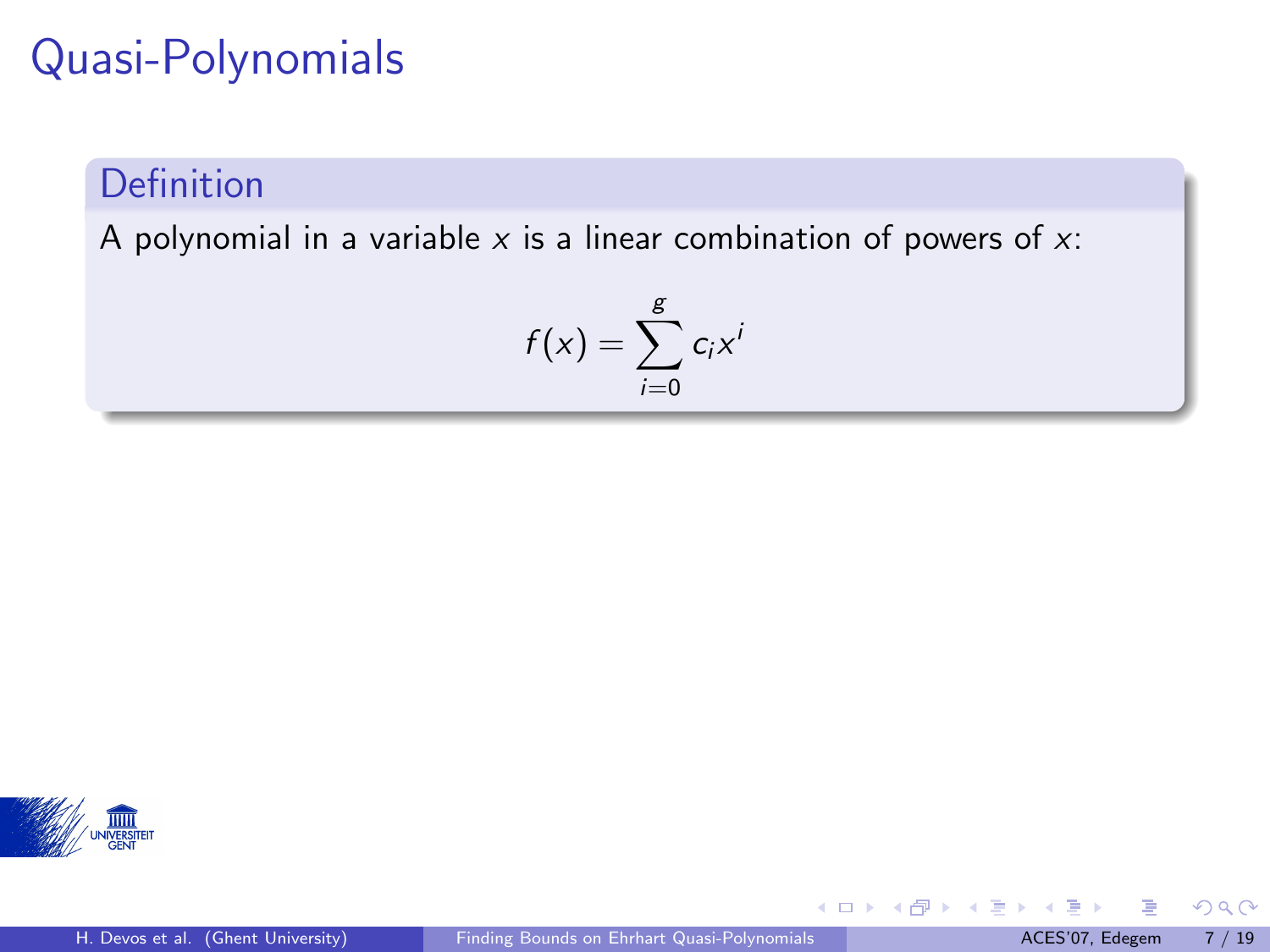# Quasi-Polynomials

#### Definition

A polynomial in a variable  $x$  is a linear combination of powers of  $x$ :

$$
f(x) = \sum_{i=0}^{g} c_i x^i
$$



舌

 $299$ 

**K ロ ト K 倒 ト K 差 ト K**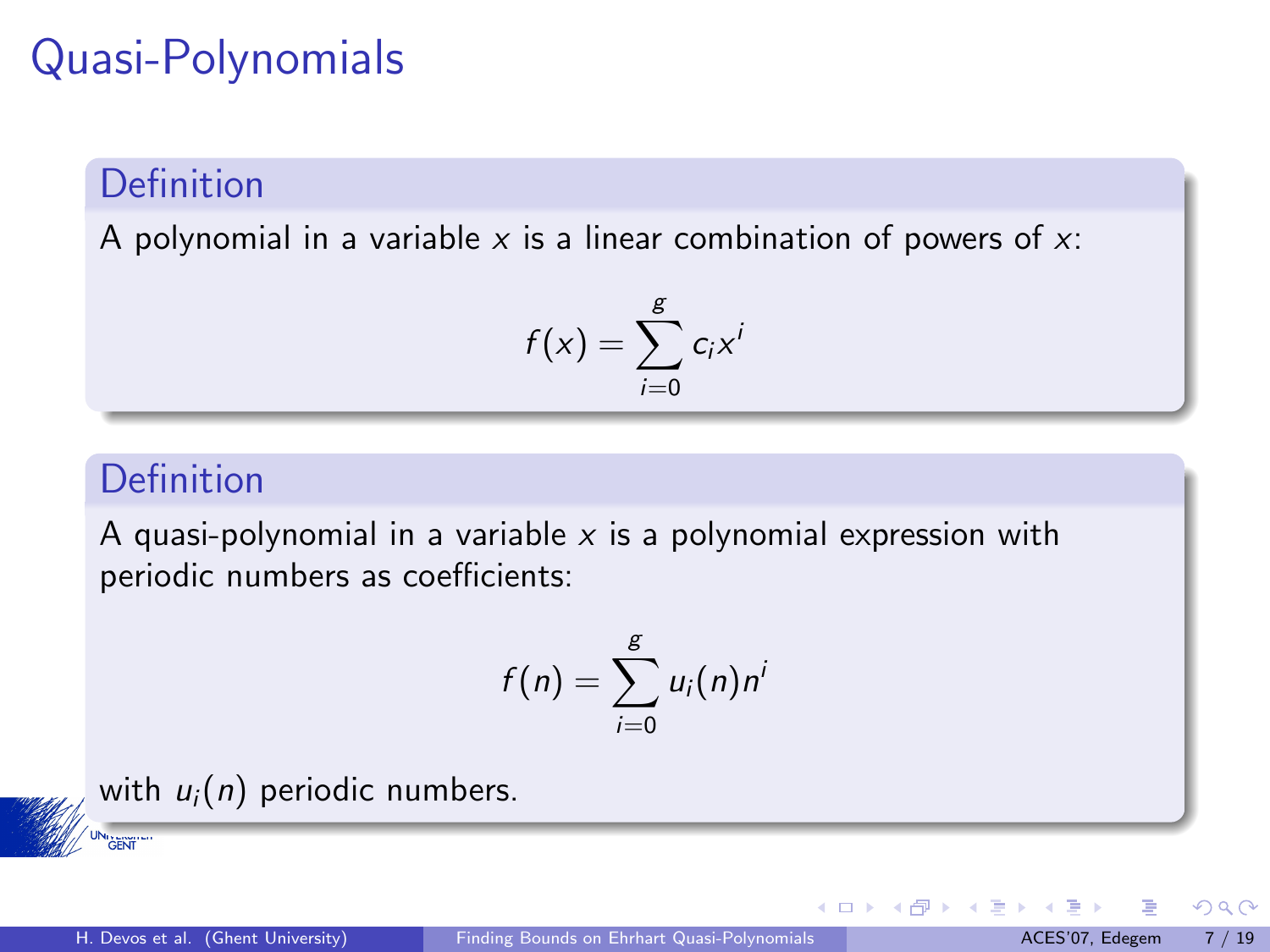# Quasi-Polynomials

#### Definition

A polynomial in a variable  $x$  is a linear combination of powers of  $x$ :

$$
f(x) = \sum_{i=0}^{g} c_i x^i
$$

#### Definition

A quasi-polynomial in a variable  $x$  is a polynomial expression with periodic numbers as coefficients:

$$
f(n) = \sum_{i=0}^{g} u_i(n) n^i
$$



**GENT** 

 $\Omega$ 

メロメ メタメ メミメス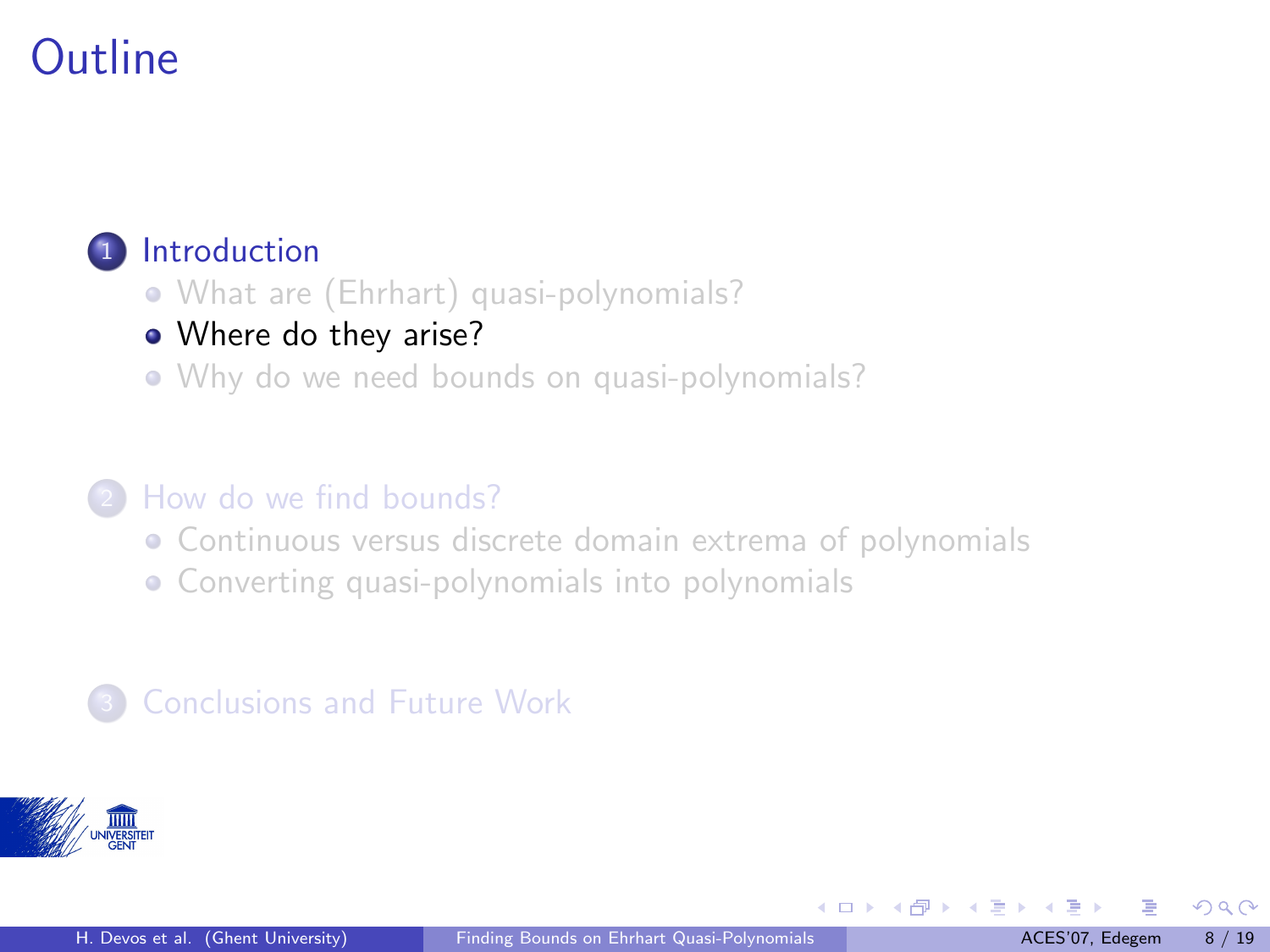#### <span id="page-8-0"></span>**[Introduction](#page-2-0)**

- [What are \(Ehrhart\) quasi-polynomials?](#page-2-0)
- [Where do they arise?](#page-8-0)
- [Why do we need bounds on quasi-polynomials?](#page-15-0)

#### <sup>2</sup> [How do we find bounds?](#page-17-0)

- [Continuous versus discrete domain extrema of polynomials](#page-17-0)
- [Converting quasi-polynomials into polynomials](#page-20-0)

#### **[Conclusions and Future Work](#page-23-0)**



 $\Omega$ 

メロトメ 御下 メミトメ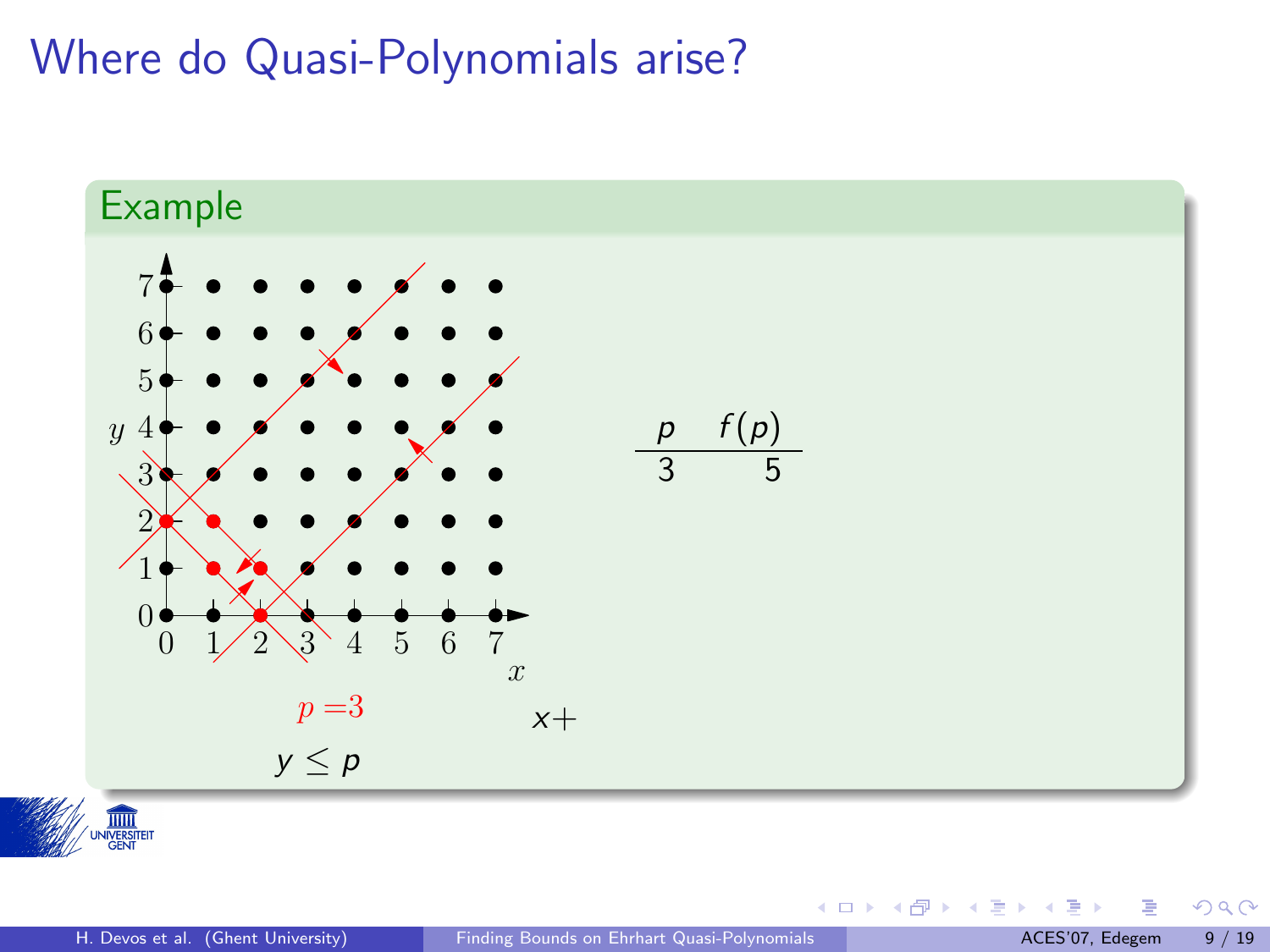



 $299$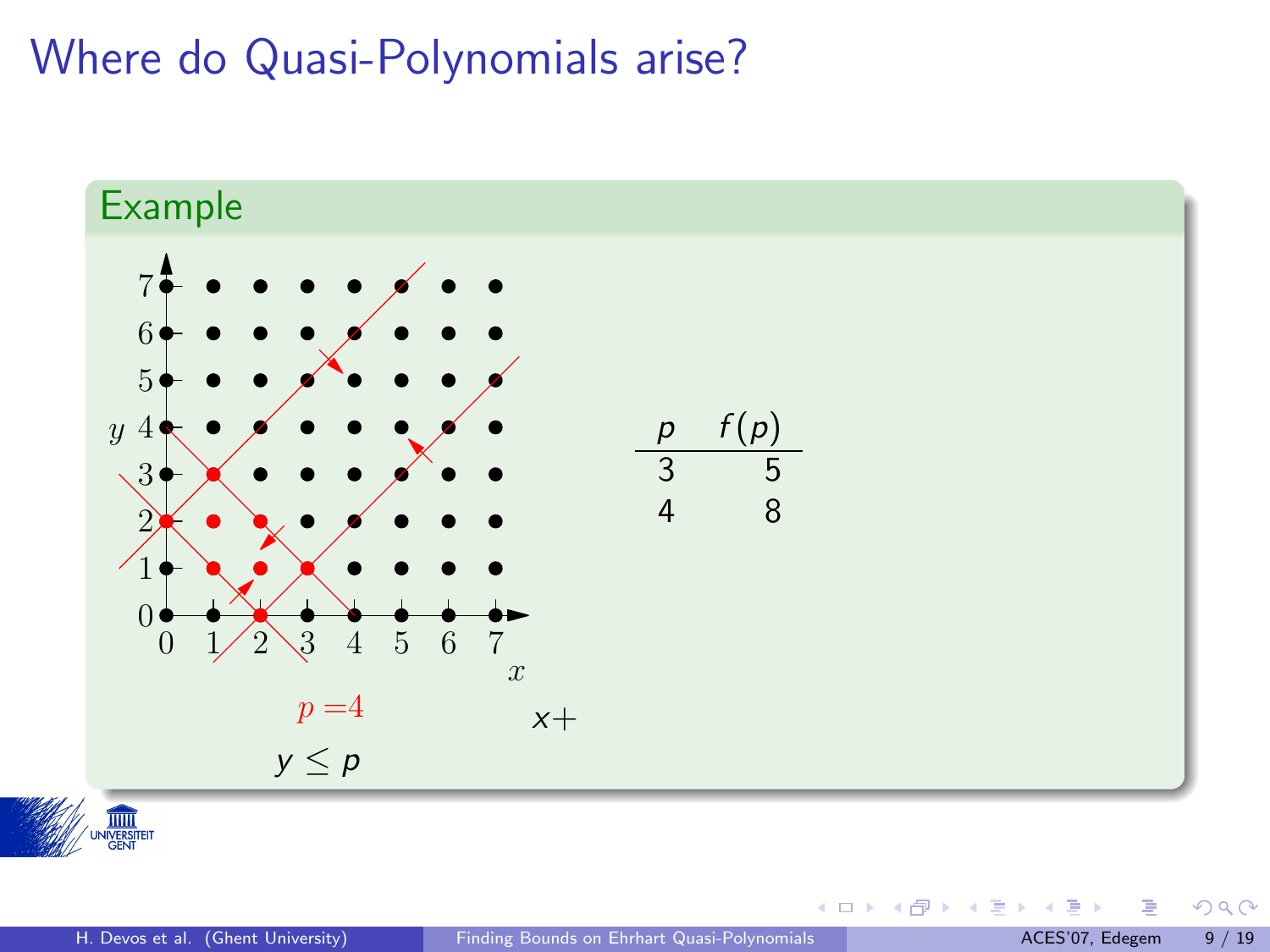



 $299$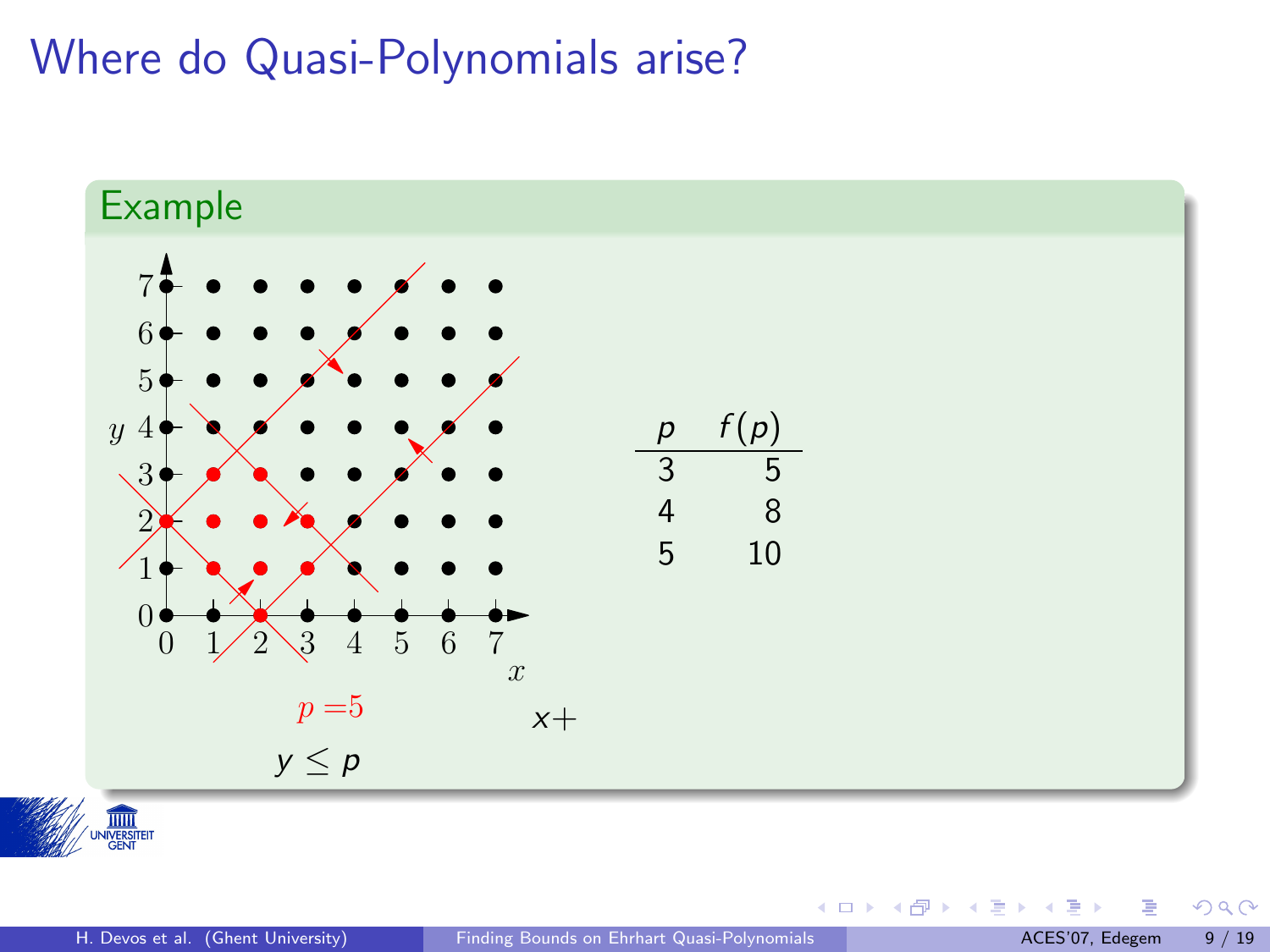

 $299$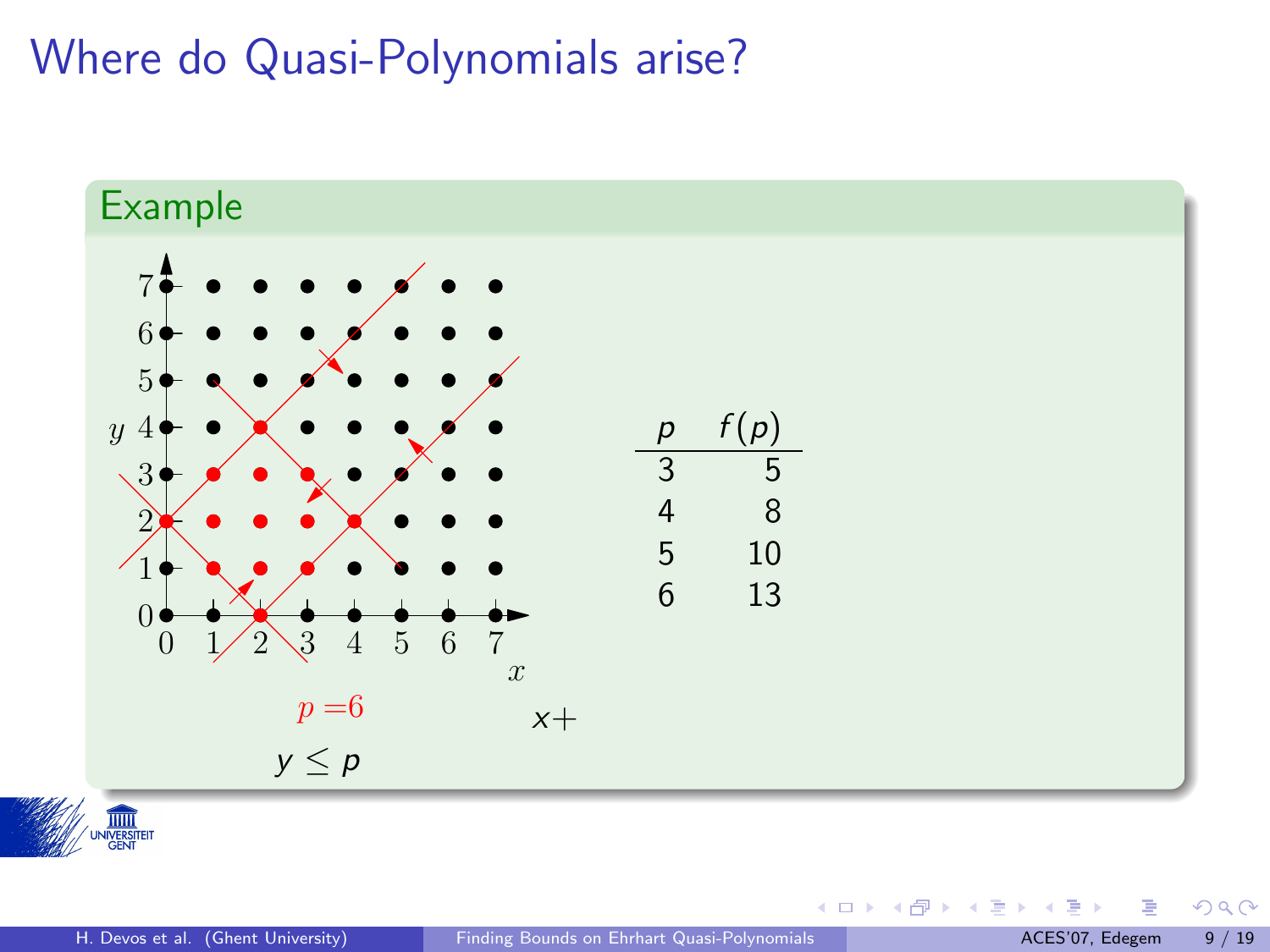



 $299$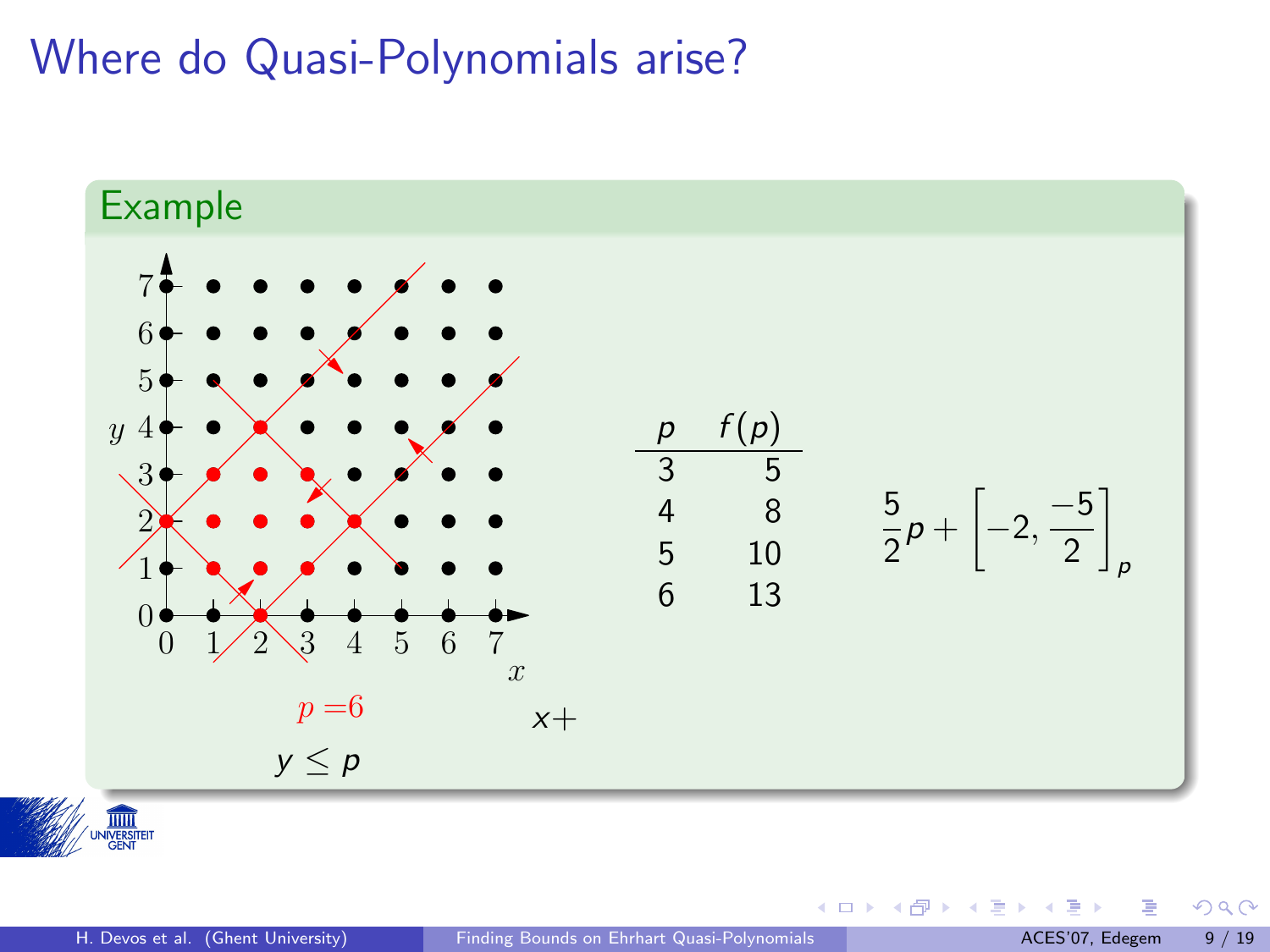



重

 $299$ 

メロトメ 御下 メミトメ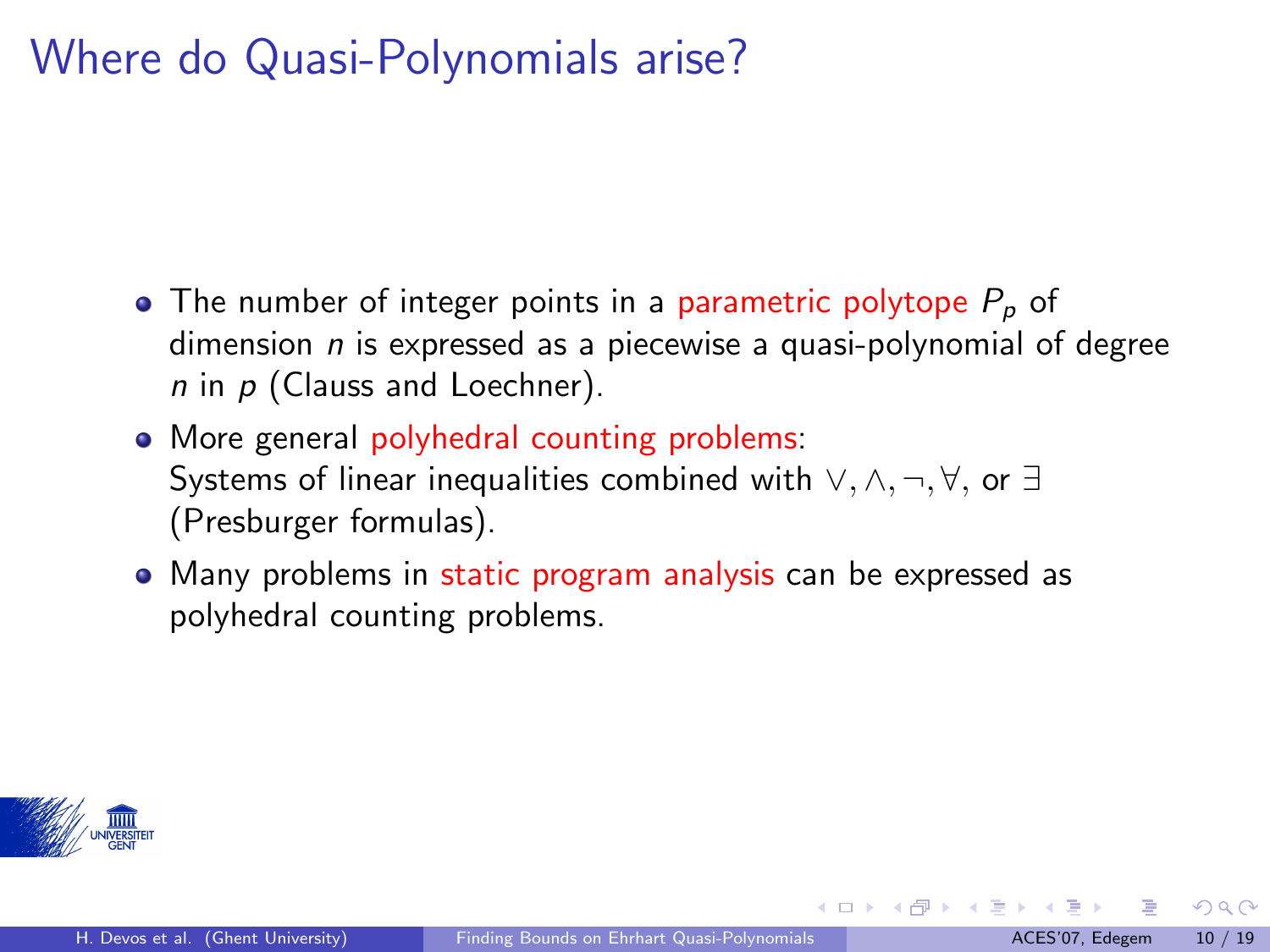- $\bullet$  The number of integer points in a parametric polytope  $P_p$  of dimension  $n$  is expressed as a piecewise a quasi-polynomial of degree  $n$  in  $p$  (Clauss and Loechner).
- More general polyhedral counting problems: Systems of linear inequalities combined with ∨, ∧, ¬, ∀, or ∃ (Presburger formulas).
- Many problems in static program analysis can be expressed as polyhedral counting problems.



 $\Omega$ 

 $\left\{ \begin{array}{ccc} 1 & 0 & 0 \\ 0 & 1 & 0 \end{array} \right.$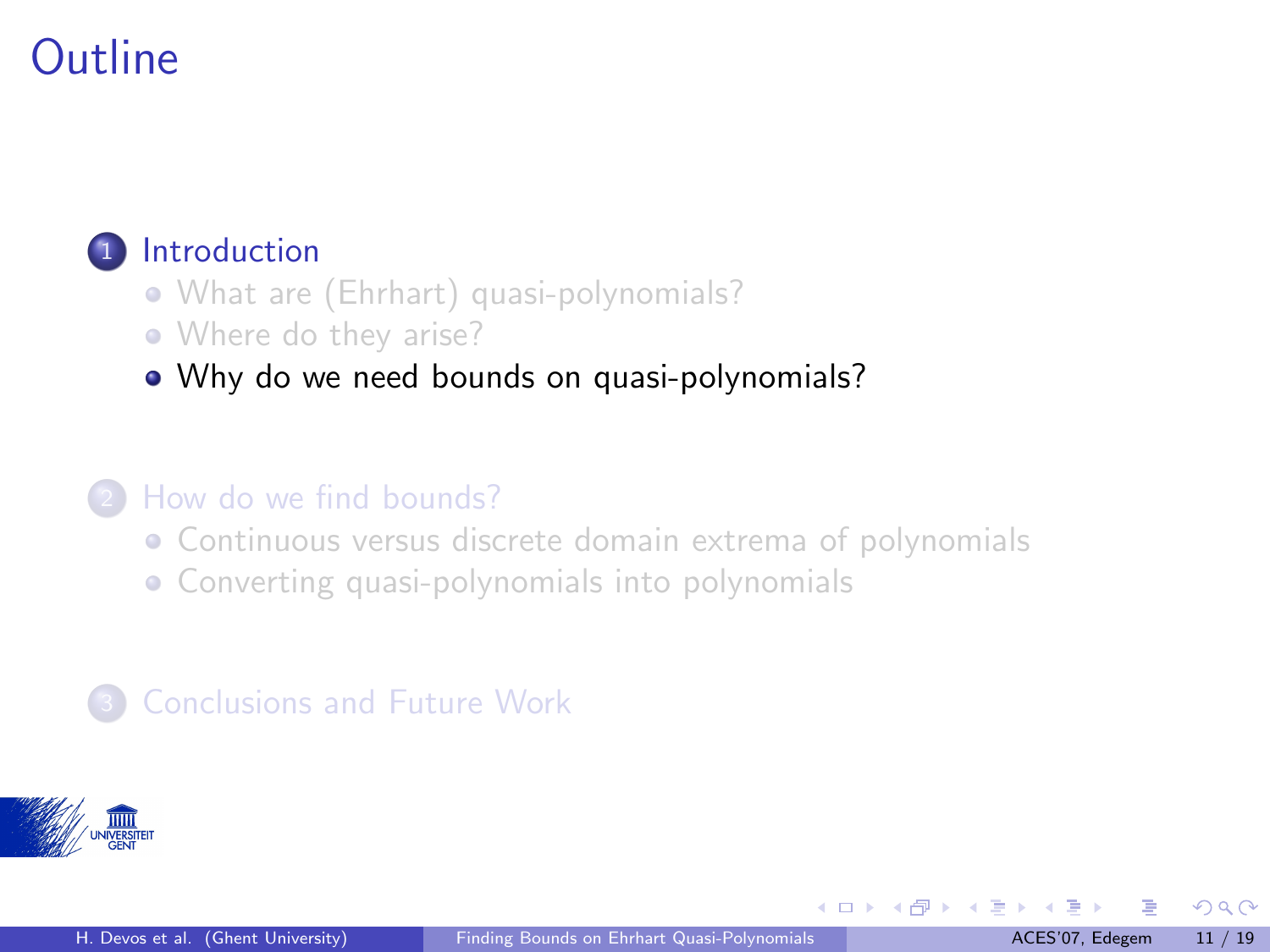#### <span id="page-15-0"></span>**[Introduction](#page-2-0)**

- [What are \(Ehrhart\) quasi-polynomials?](#page-2-0)
- [Where do they arise?](#page-8-0)
- [Why do we need bounds on quasi-polynomials?](#page-15-0)

#### <sup>2</sup> [How do we find bounds?](#page-17-0)

- [Continuous versus discrete domain extrema of polynomials](#page-17-0)
- [Converting quasi-polynomials into polynomials](#page-20-0)

#### **[Conclusions and Future Work](#page-23-0)**



 $\Omega$ 

 $\left\{ \begin{array}{ccc} 1 & 0 & 0 \\ 0 & 1 & 0 \end{array} \right\}$  ,  $\left\{ \begin{array}{ccc} 0 & 0 & 0 \\ 0 & 0 & 0 \end{array} \right\}$  ,  $\left\{ \begin{array}{ccc} 0 & 0 & 0 \\ 0 & 0 & 0 \end{array} \right\}$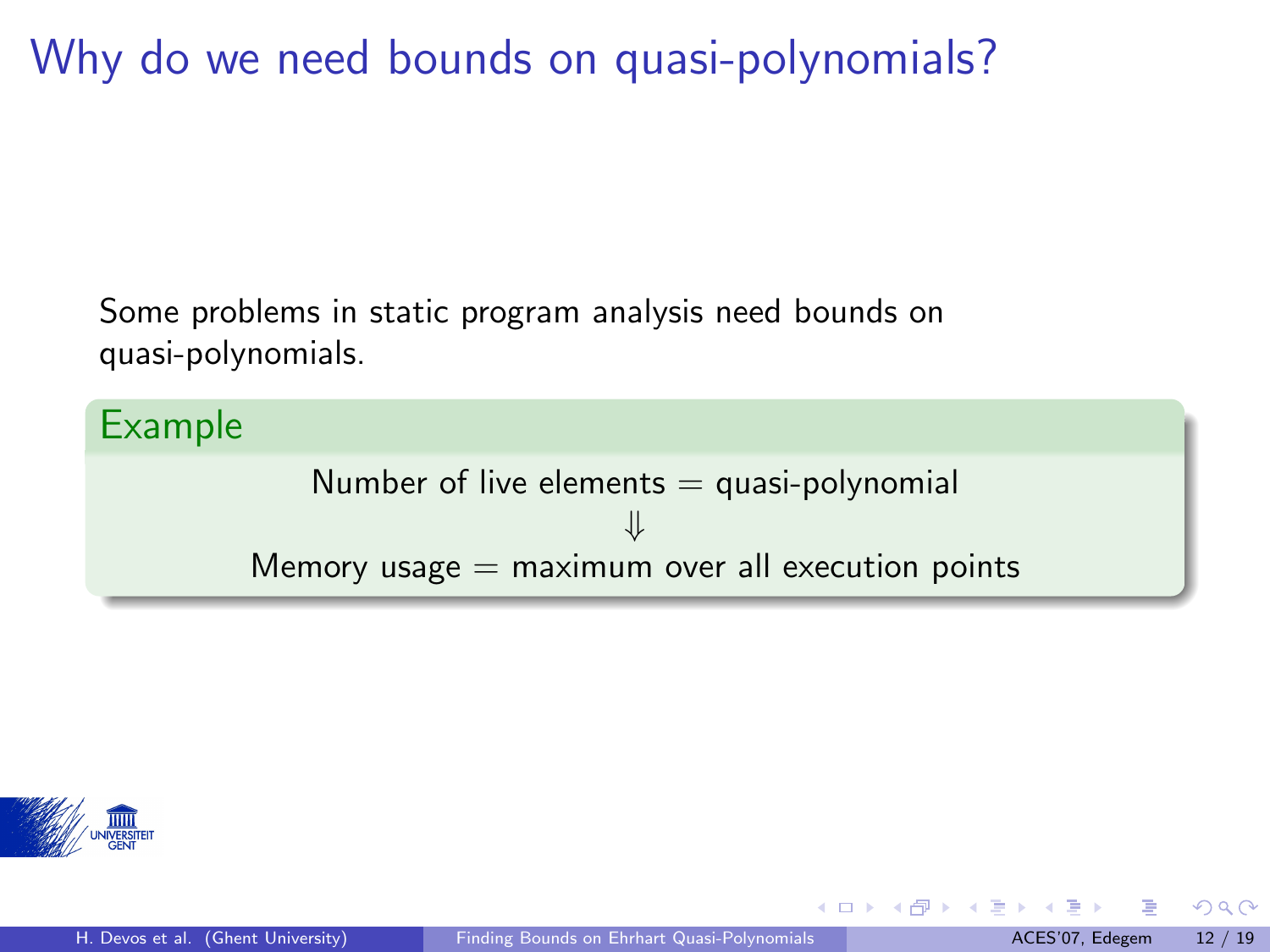Why do we need bounds on quasi-polynomials?

Some problems in static program analysis need bounds on quasi-polynomials.

Example

Number of live elements  $=$  quasi-polynomial ⇓ Memory usage  $=$  maximum over all execution points



 $\Omega$ 

メロメ メタメ メミメス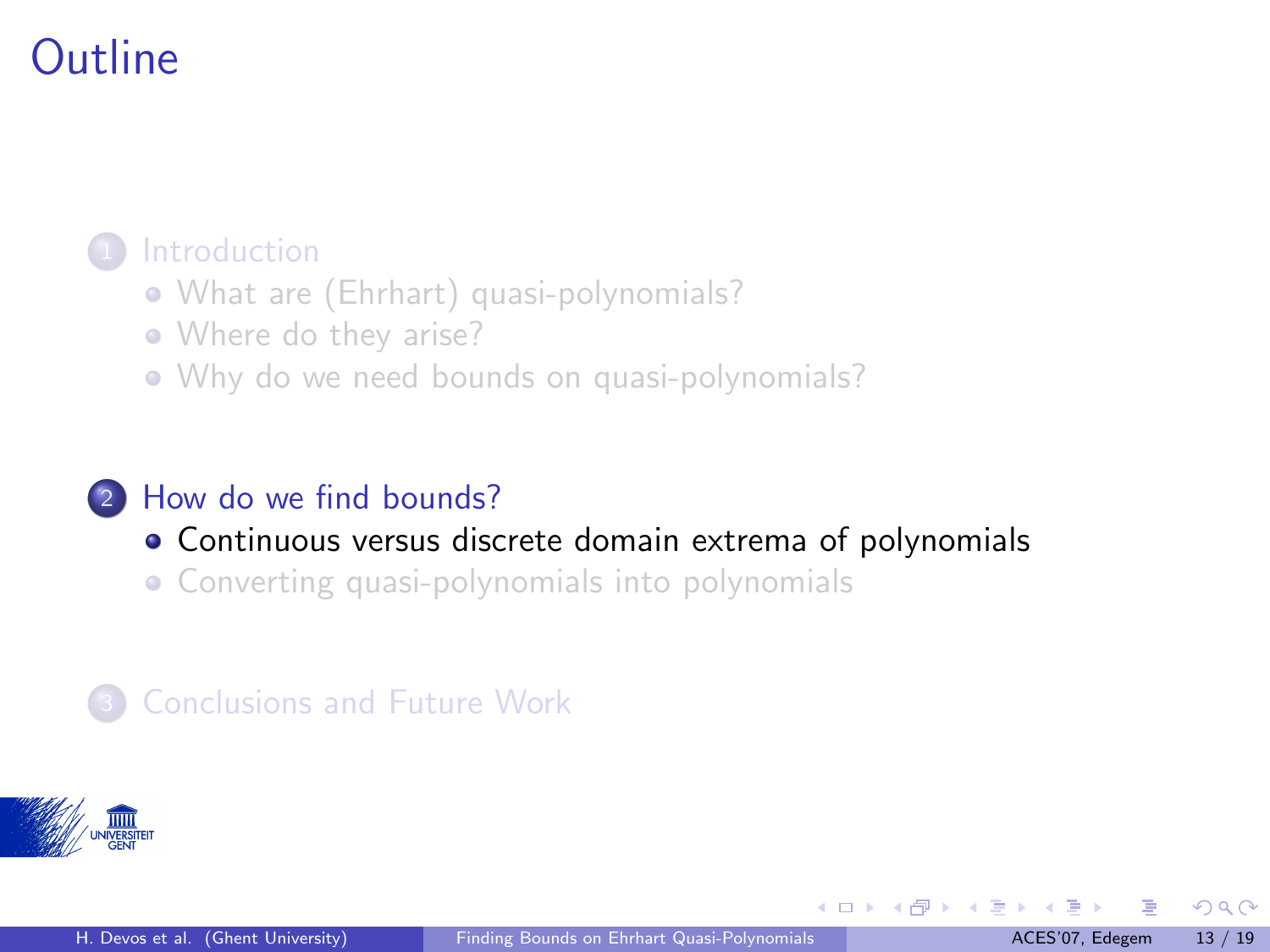#### <span id="page-17-0"></span>**[Introduction](#page-2-0)**

- [What are \(Ehrhart\) quasi-polynomials?](#page-2-0)
- [Where do they arise?](#page-8-0)
- [Why do we need bounds on quasi-polynomials?](#page-15-0)

#### <sup>2</sup> [How do we find bounds?](#page-17-0)

- [Continuous versus discrete domain extrema of polynomials](#page-17-0)
- [Converting quasi-polynomials into polynomials](#page-20-0)

#### **[Conclusions and Future Work](#page-23-0)**



 $\Omega$ 

 $\left\{ \begin{array}{ccc} \square & \rightarrow & \left\{ \bigcap \mathbb{P} \right\} & \left\{ \begin{array}{ccc} \square & \rightarrow & \left\{ \end{array} \right\} \end{array} \right.$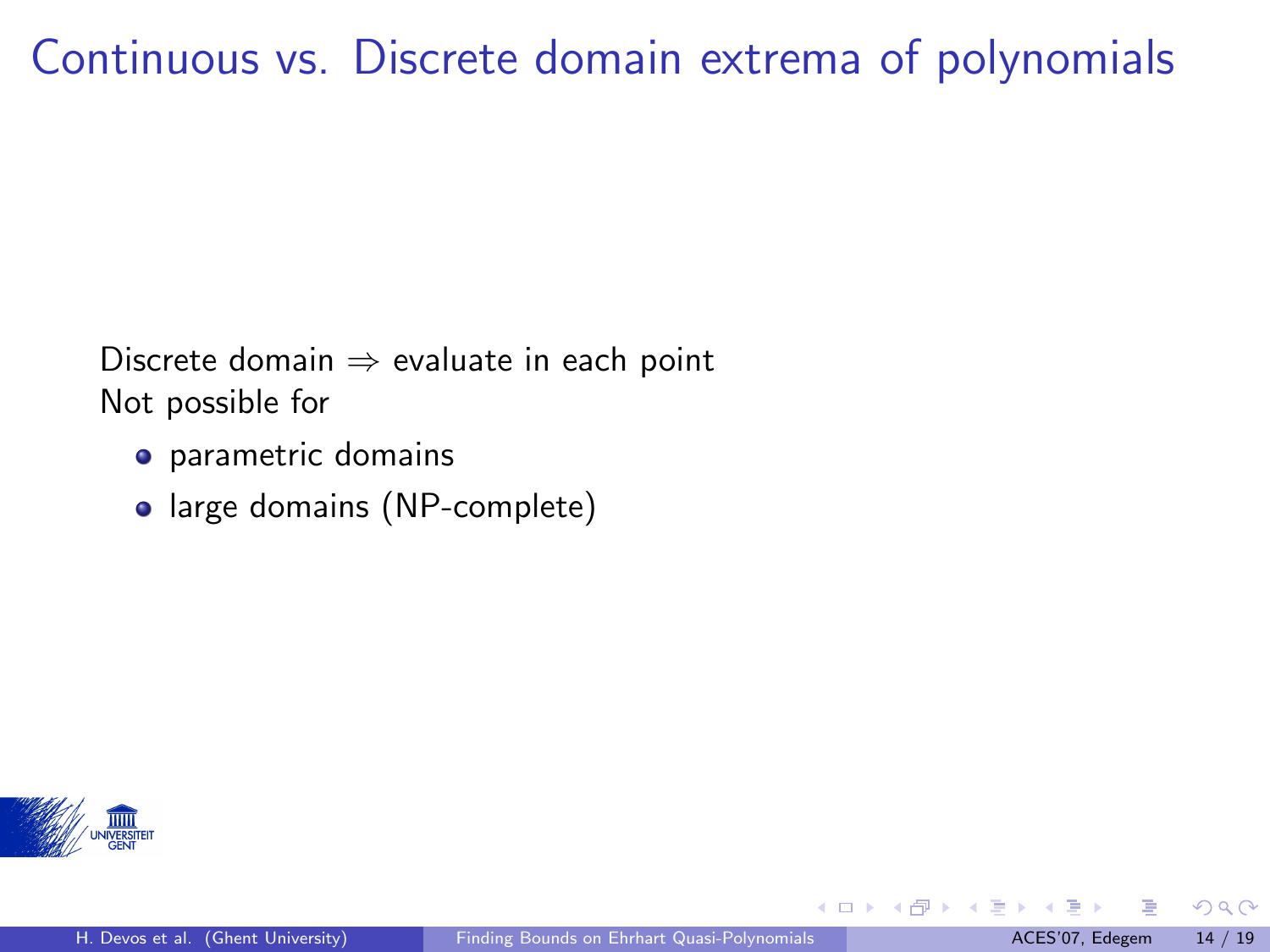## Continuous vs. Discrete domain extrema of polynomials

Discrete domain  $\Rightarrow$  evaluate in each point Not possible for

- **•** parametric domains
- large domains (NP-complete)



**K ロ ト K 何 ト K ヨ ト K** 

 $\Omega$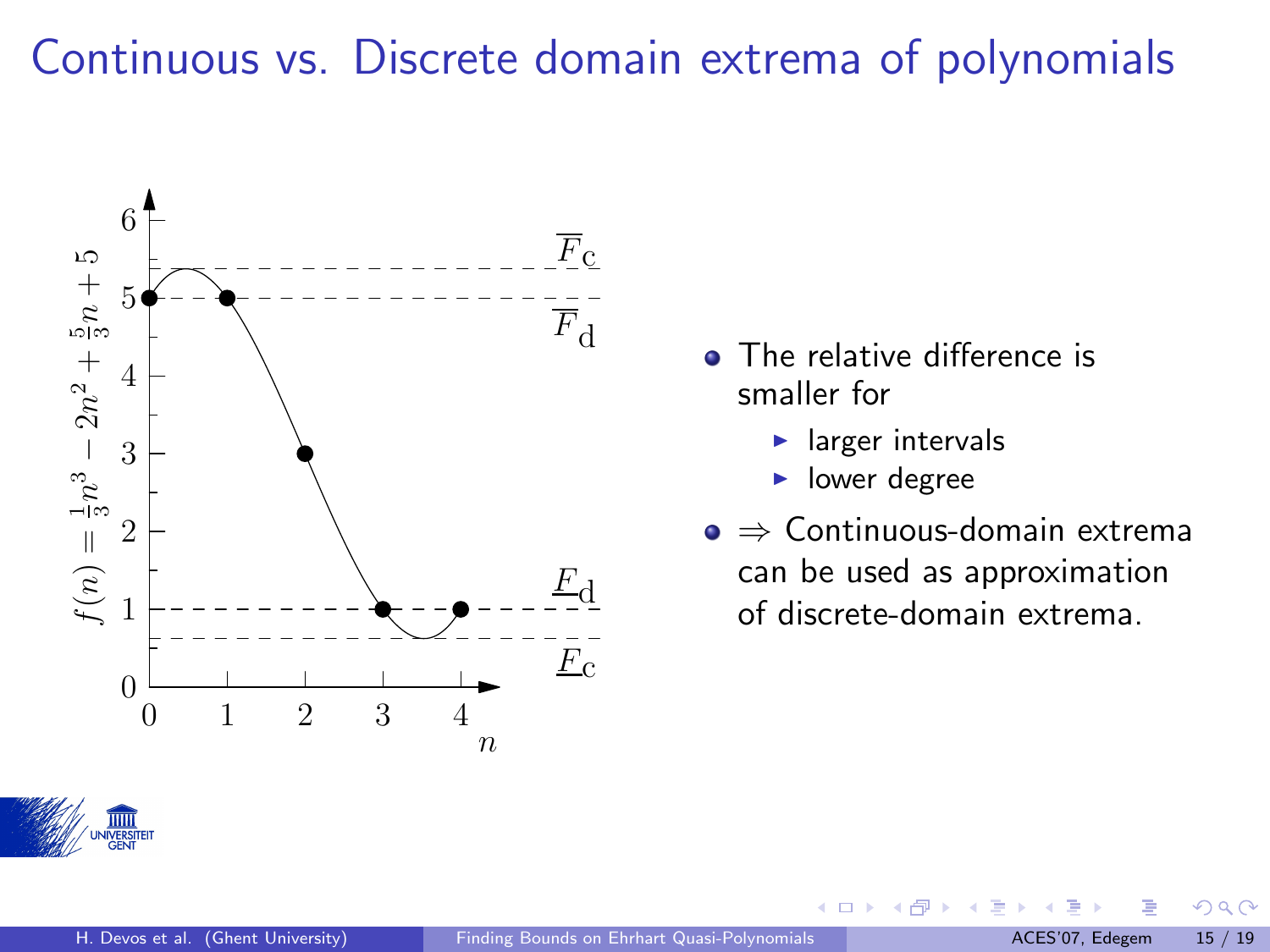## Continuous vs. Discrete domain extrema of polynomials



- The relative difference is smaller for
	- $\blacktriangleright$  larger intervals
	- $\blacktriangleright$  lower degree

4 日下

 $\rightarrow$   $\Box$ 一本語

⇒ Continuous-domain extrema can be used as approximation of discrete-domain extrema.



 $QQ$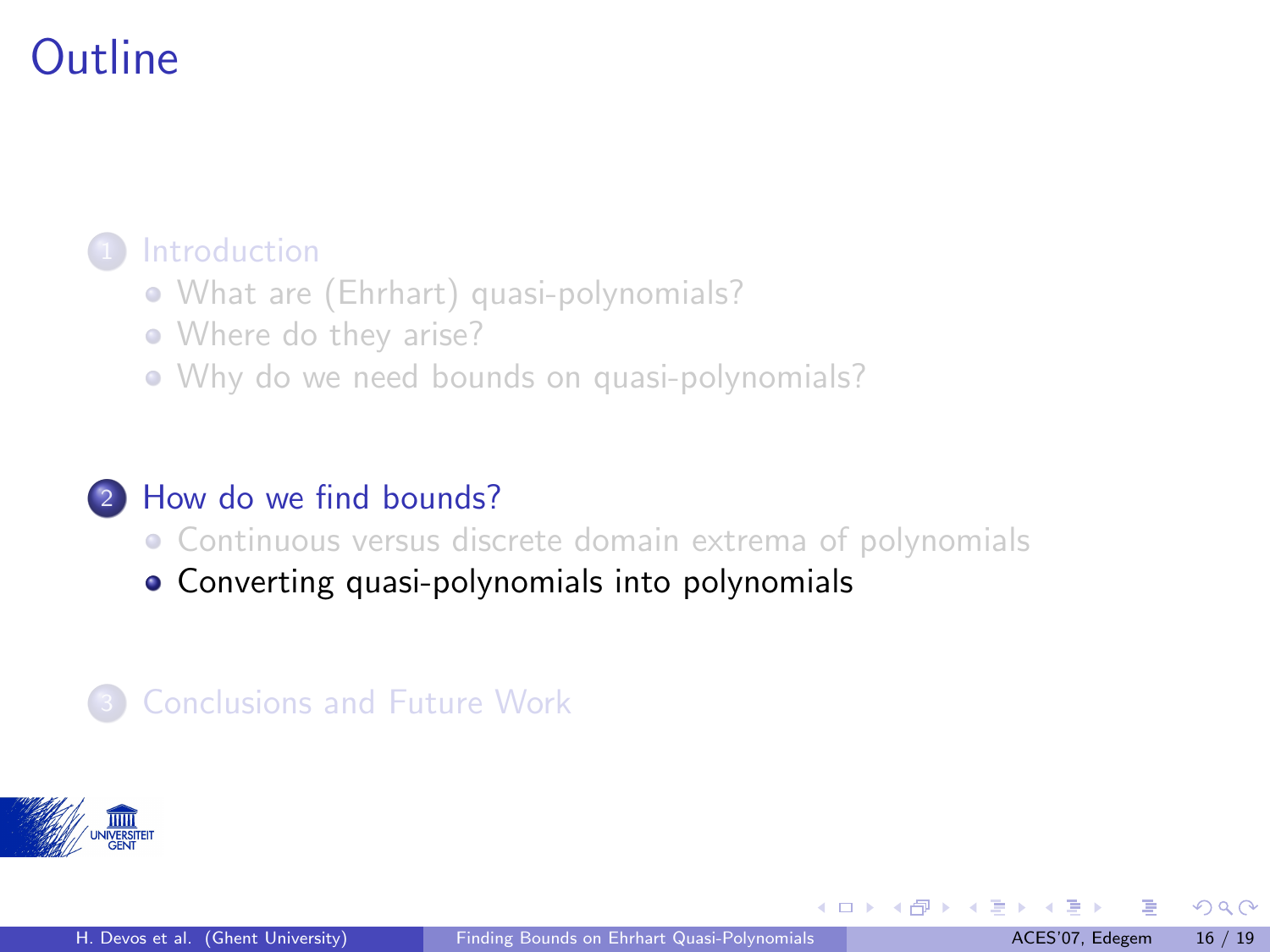#### <span id="page-20-0"></span>**[Introduction](#page-2-0)**

- [What are \(Ehrhart\) quasi-polynomials?](#page-2-0)
- [Where do they arise?](#page-8-0)
- [Why do we need bounds on quasi-polynomials?](#page-15-0)

#### <sup>2</sup> [How do we find bounds?](#page-17-0)

- [Continuous versus discrete domain extrema of polynomials](#page-17-0)
- [Converting quasi-polynomials into polynomials](#page-20-0)

#### **[Conclusions and Future Work](#page-23-0)**



 $\Omega$ 

 $\left\{ \begin{array}{ccc} \square & \rightarrow & \left\{ \bigcap \mathbb{P} \right\} & \left\{ \begin{array}{ccc} \square & \rightarrow & \left\{ \end{array} \right\} \end{array} \right.$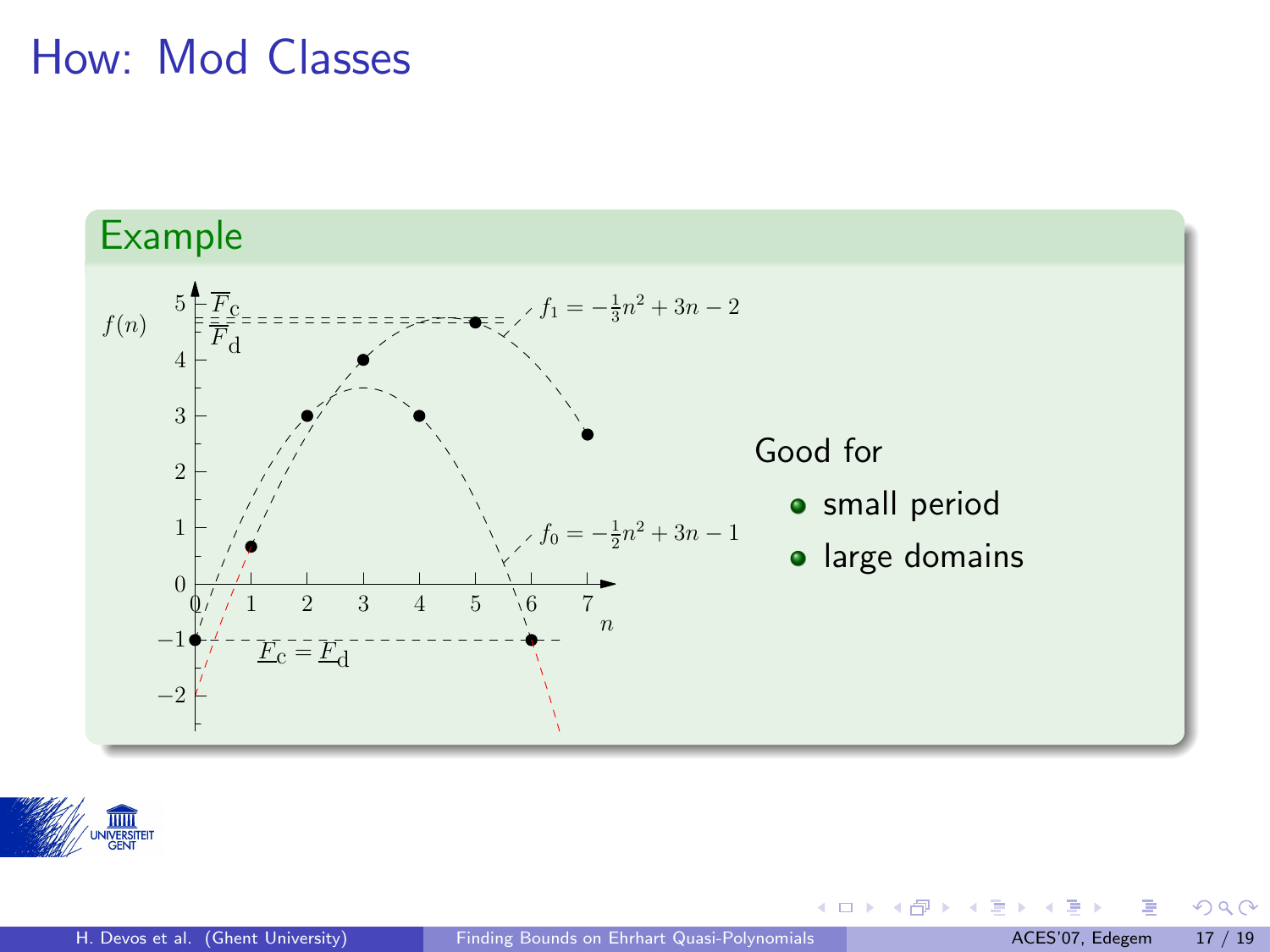### How: Mod Classes





 $299$ 

メロメ メタメ メミメス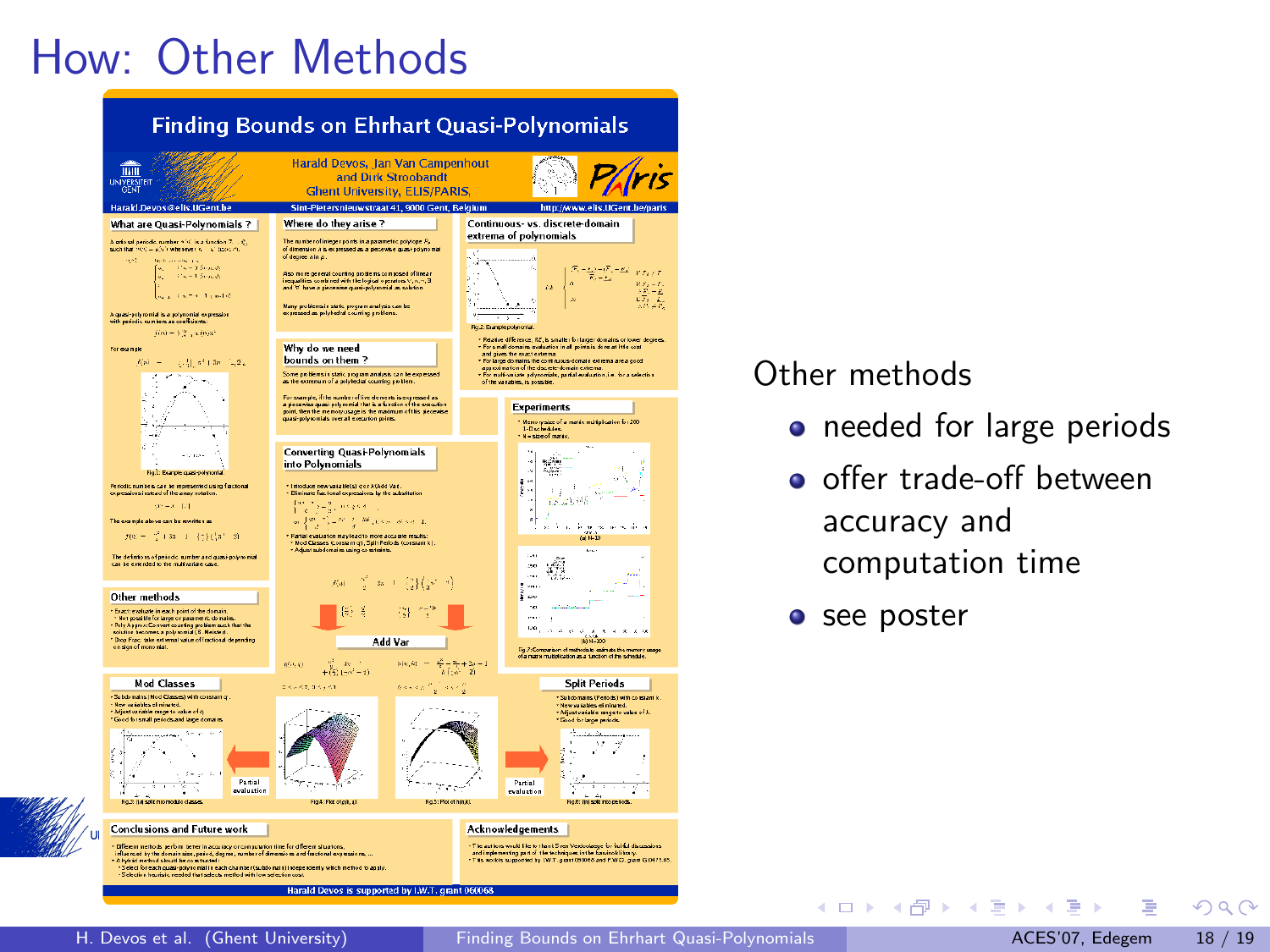# How: Other Methods



#### Other methods

- o needed for large periods
- **o** offer trade-off between accuracy and computation time

イロト イ部 トイモト イモト

• see poster

 $\Omega$